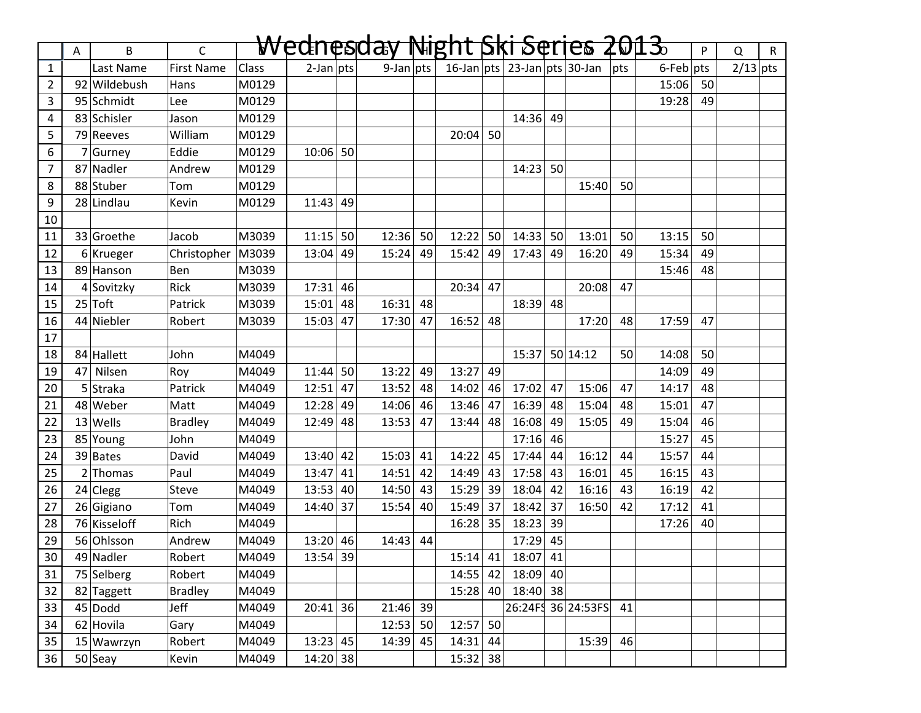|                | A  | B            | $\mathsf{C}$        |       | Wednesday    |    |              |    |            |    |            |    | Night Ski Series 2013.           |     |                 | P  | Q          | $\mathsf{R}$ |
|----------------|----|--------------|---------------------|-------|--------------|----|--------------|----|------------|----|------------|----|----------------------------------|-----|-----------------|----|------------|--------------|
| $\mathbf{1}$   |    | Last Name    | <b>First Name</b>   | Class | $2$ -Jan pts |    | $9$ -Jan pts |    |            |    |            |    | 16-Jan $pts$ 23-Jan $pts$ 30-Jan | pts | $6$ -Feb $ pts$ |    | $2/13$ pts |              |
| $\overline{2}$ |    | 92 Wildebush | Hans                | M0129 |              |    |              |    |            |    |            |    |                                  |     | 15:06           | 50 |            |              |
| 3              |    | 95 Schmidt   | Lee                 | M0129 |              |    |              |    |            |    |            |    |                                  |     | 19:28           | 49 |            |              |
| 4              |    | 83 Schisler  | Jason               | M0129 |              |    |              |    |            |    | 14:36      | 49 |                                  |     |                 |    |            |              |
| 5              |    | 79 Reeves    | William             | M0129 |              |    |              |    | $20:04$ 50 |    |            |    |                                  |     |                 |    |            |              |
| 6              |    | 7 Gurney     | Eddie               | M0129 | $10:06$ 50   |    |              |    |            |    |            |    |                                  |     |                 |    |            |              |
| $\overline{7}$ |    | 87 Nadler    | Andrew              | M0129 |              |    |              |    |            |    | 14:23      | 50 |                                  |     |                 |    |            |              |
| 8              |    | 88 Stuber    | Tom                 | M0129 |              |    |              |    |            |    |            |    | 15:40                            | 50  |                 |    |            |              |
| 9              |    | 28 Lindlau   | Kevin               | M0129 | 11:43        | 49 |              |    |            |    |            |    |                                  |     |                 |    |            |              |
| 10             |    |              |                     |       |              |    |              |    |            |    |            |    |                                  |     |                 |    |            |              |
| 11             |    | 33 Groethe   | Jacob               | M3039 | $11:15$ 50   |    | 12:36        | 50 | 12:22      | 50 | 14:33      | 50 | 13:01                            | 50  | 13:15           | 50 |            |              |
| 12             |    | 6 Krueger    | Christopher   M3039 |       | 13:04        | 49 | 15:24        | 49 | 15:42      | 49 | 17:43      | 49 | 16:20                            | 49  | 15:34           | 49 |            |              |
| 13             |    | 89 Hanson    | Ben                 | M3039 |              |    |              |    |            |    |            |    |                                  |     | 15:46           | 48 |            |              |
| 14             |    | 4 Sovitzky   | Rick                | M3039 | 17:31        | 46 |              |    | $20:34$ 47 |    |            |    | 20:08                            | 47  |                 |    |            |              |
| 15             |    | $25$ Toft    | Patrick             | M3039 | 15:01        | 48 | 16:31        | 48 |            |    | $18:39$ 48 |    |                                  |     |                 |    |            |              |
| 16             |    | 44 Niebler   | Robert              | M3039 | 15:03        | 47 | 17:30        | 47 | 16:52      | 48 |            |    | 17:20                            | 48  | 17:59           | 47 |            |              |
| 17             |    |              |                     |       |              |    |              |    |            |    |            |    |                                  |     |                 |    |            |              |
| 18             |    | 84 Hallett   | John                | M4049 |              |    |              |    |            |    | 15:37      |    | 50 14:12                         | 50  | 14:08           | 50 |            |              |
| 19             | 47 | Nilsen       | Roy                 | M4049 | 11:44        | 50 | 13:22        | 49 | $13:27$ 49 |    |            |    |                                  |     | 14:09           | 49 |            |              |
| 20             |    | 5 Straka     | Patrick             | M4049 | 12:51        | 47 | 13:52        | 48 | 14:02      | 46 | 17:02      | 47 | 15:06                            | 47  | 14:17           | 48 |            |              |
| 21             |    | 48 Weber     | Matt                | M4049 | 12:28        | 49 | 14:06        | 46 | 13:46      | 47 | 16:39      | 48 | 15:04                            | 48  | 15:01           | 47 |            |              |
| 22             |    | $13$ Wells   | <b>Bradley</b>      | M4049 | 12:49        | 48 | 13:53        | 47 | 13:44      | 48 | 16:08      | 49 | 15:05                            | 49  | 15:04           | 46 |            |              |
| 23             |    | 85 Young     | John                | M4049 |              |    |              |    |            |    | 17:16      | 46 |                                  |     | 15:27           | 45 |            |              |
| 24             |    | 39 Bates     | David               | M4049 | 13:40        | 42 | 15:03        | 41 | 14:22 45   |    | 17:44      | 44 | 16:12                            | 44  | 15:57           | 44 |            |              |
| 25             |    | $2$ Thomas   | Paul                | M4049 | 13:47        | 41 | 14:51        | 42 | 14:49      | 43 | 17:58      | 43 | 16:01                            | 45  | 16:15           | 43 |            |              |
| 26             |    | $24$ Clegg   | Steve               | M4049 | 13:53        | 40 | 14:50        | 43 | 15:29 39   |    | 18:04      | 42 | 16:16                            | 43  | 16:19           | 42 |            |              |
| 27             |    | 26 Gigiano   | Tom                 | M4049 | 14:40 37     |    | 15:54        | 40 | 15:49 37   |    | 18:42      | 37 | 16:50                            | 42  | 17:12           | 41 |            |              |
| 28             |    | 76 Kisseloff | Rich                | M4049 |              |    |              |    | 16:28      | 35 | 18:23      | 39 |                                  |     | 17:26           | 40 |            |              |
| 29             |    | 56 Ohlsson   | Andrew              | M4049 | $13:20$ 46   |    | $14:43$ 44   |    |            |    | 17:29 45   |    |                                  |     |                 |    |            |              |
| 30             |    | 49 Nadler    | Robert              | M4049 | $13:54$ 39   |    |              |    | $15:14$ 41 |    | $18:07$ 41 |    |                                  |     |                 |    |            |              |
| 31             |    | 75 Selberg   | Robert              | M4049 |              |    |              |    | $14:55$ 42 |    | $18:09$ 40 |    |                                  |     |                 |    |            |              |
| 32             |    | 82 Taggett   | <b>Bradley</b>      | M4049 |              |    |              |    | $15:28$ 40 |    | $18:40$ 38 |    |                                  |     |                 |    |            |              |
| 33             |    | $45$ Dodd    | Jeff                | M4049 | $20:41$ 36   |    | 21:46        | 39 |            |    |            |    | 26:24FS 36 24:53FS               | 41  |                 |    |            |              |
| 34             |    | 62 Hovila    | Gary                | M4049 |              |    | $12:53$ 50   |    | $12:57$ 50 |    |            |    |                                  |     |                 |    |            |              |
| 35             |    | 15 Wawrzyn   | Robert              | M4049 | $13:23$ 45   |    | 14:39        | 45 | $14:31$ 44 |    |            |    | 15:39                            | 46  |                 |    |            |              |
| 36             |    | $50$ Seay    | Kevin               | M4049 | $14:20$ 38   |    |              |    | $15:32$ 38 |    |            |    |                                  |     |                 |    |            |              |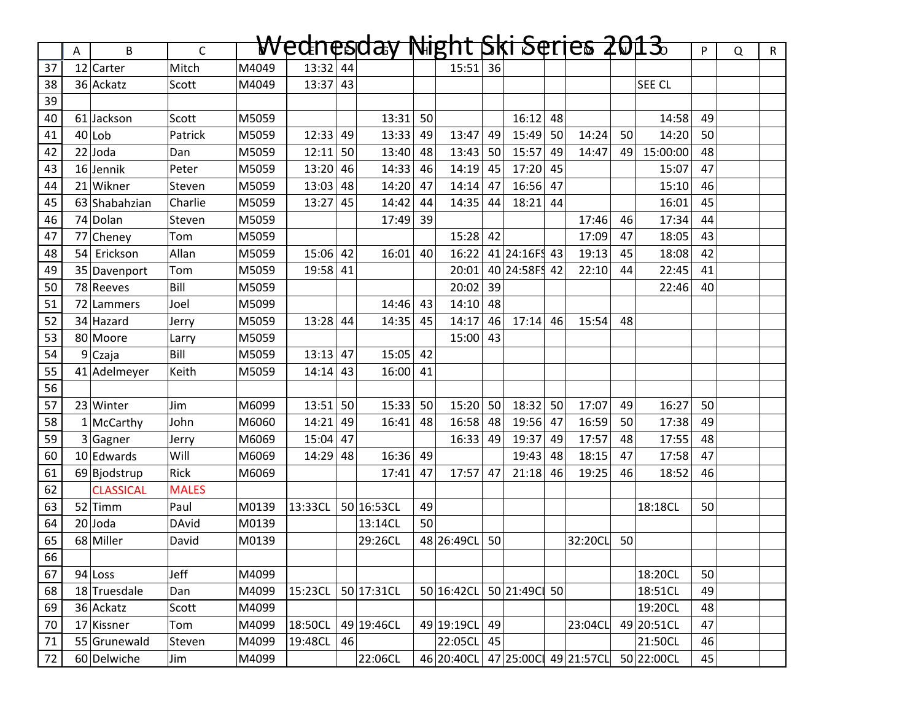|          |    | B                | $\mathsf{C}$ |       | <del>Wednesday</del> |    |            |    | Night Ski Series 2013 <del>.</del> |    |               |    |                      |    |            | P  |   |              |
|----------|----|------------------|--------------|-------|----------------------|----|------------|----|------------------------------------|----|---------------|----|----------------------|----|------------|----|---|--------------|
| 37       | Α  | 12 Carter        | Mitch        | M4049 | 13:32 44             |    |            |    | $15:51$ 36                         |    |               |    |                      |    |            |    | Q | $\mathsf{R}$ |
|          |    | 36 Ackatz        | Scott        | M4049 | 13:37                | 43 |            |    |                                    |    |               |    |                      |    | SEE CL     |    |   |              |
| 38<br>39 |    |                  |              |       |                      |    |            |    |                                    |    |               |    |                      |    |            |    |   |              |
| 40       |    | 61 Jackson       | Scott        | M5059 |                      |    | 13:31      | 50 |                                    |    | 16:12         | 48 |                      |    | 14:58      | 49 |   |              |
| 41       |    | $40$ Lob         | Patrick      | M5059 | 12:33                | 49 | 13:33      | 49 | 13:47                              | 49 | $15:49$ 50    |    | 14:24                | 50 | 14:20      | 50 |   |              |
| 42       |    | $22$ Joda        | Dan          | M5059 | 12:11                | 50 | 13:40      | 48 | 13:43                              | 50 | 15:57         | 49 | 14:47                | 49 | 15:00:00   | 48 |   |              |
| 43       |    | 16 Jennik        | Peter        | M5059 | 13:20                | 46 | 14:33      | 46 | 14:19                              | 45 | $17:20$ 45    |    |                      |    | 15:07      | 47 |   |              |
| 44       |    | 21 Wikner        | Steven       | M5059 | 13:03                | 48 | 14:20      | 47 | 14:14                              | 47 | $16:56$ 47    |    |                      |    | 15:10      | 46 |   |              |
| 45       |    | 63 Shabahzian    | Charlie      | M5059 | 13:27                | 45 | 14:42      | 44 | 14:35                              | 44 | 18:21         | 44 |                      |    | 16:01      | 45 |   |              |
| 46       |    | 74 Dolan         | Steven       | M5059 |                      |    | 17:49      | 39 |                                    |    |               |    | 17:46                | 46 | 17:34      | 44 |   |              |
| 47       |    | 77 Cheney        | Tom          | M5059 |                      |    |            |    | 15:28 42                           |    |               |    | 17:09                | 47 | 18:05      | 43 |   |              |
| 48       | 54 | Erickson         | Allan        | M5059 | 15:06                | 42 | 16:01      | 40 | 16:22                              |    | 41 24:16FS 43 |    | 19:13                | 45 | 18:08      | 42 |   |              |
| 49       |    | 35 Davenport     | Tom          | M5059 | 19:58                | 41 |            |    | 20:01                              |    | 40 24:58FS 42 |    | 22:10                | 44 | 22:45      | 41 |   |              |
| 50       |    | 78 Reeves        | Bill         | M5059 |                      |    |            |    | $20:02$ 39                         |    |               |    |                      |    | 22:46      | 40 |   |              |
| 51       |    | 72 Lammers       | Joel         | M5099 |                      |    | 14:46      | 43 | $14:10$ 48                         |    |               |    |                      |    |            |    |   |              |
| 52       |    | 34 Hazard        | Jerry        | M5059 | 13:28                | 44 | 14:35      | 45 | 14:17                              | 46 | 17:14         | 46 | 15:54                | 48 |            |    |   |              |
| 53       |    | 80 Moore         | Larry        | M5059 |                      |    |            |    | 15:00                              | 43 |               |    |                      |    |            |    |   |              |
| 54       |    | 9Czaja           | Bill         | M5059 | 13:13                | 47 | 15:05      | 42 |                                    |    |               |    |                      |    |            |    |   |              |
| 55       |    | 41 Adelmeyer     | Keith        | M5059 | 14:14                | 43 | 16:00      | 41 |                                    |    |               |    |                      |    |            |    |   |              |
| 56       |    |                  |              |       |                      |    |            |    |                                    |    |               |    |                      |    |            |    |   |              |
| 57       |    | 23 Winter        | Jim          | M6099 | 13:51                | 50 | 15:33      | 50 | 15:20                              | 50 | $18:32$ 50    |    | 17:07                | 49 | 16:27      | 50 |   |              |
| 58       |    | $1$ McCarthy     | John         | M6060 | 14:21                | 49 | 16:41      | 48 | 16:58                              | 48 | 19:56         | 47 | 16:59                | 50 | 17:38      | 49 |   |              |
| 59       |    | 3 Gagner         | Jerry        | M6069 | 15:04                | 47 |            |    | 16:33                              | 49 | 19:37         | 49 | 17:57                | 48 | 17:55      | 48 |   |              |
| 60       |    | $10$ Edwards     | Will         | M6069 | 14:29                | 48 | 16:36      | 49 |                                    |    | 19:43         | 48 | 18:15                | 47 | 17:58      | 47 |   |              |
| 61       |    | 69 Bjodstrup     | Rick         | M6069 |                      |    | 17:41      | 47 | 17:57 47                           |    | 21:18         | 46 | 19:25                | 46 | 18:52      | 46 |   |              |
| 62       |    | <b>CLASSICAL</b> | <b>MALES</b> |       |                      |    |            |    |                                    |    |               |    |                      |    |            |    |   |              |
| 63       |    | 52 Timm          | Paul         | M0139 | 13:33CL              |    | 50 16:53CL | 49 |                                    |    |               |    |                      |    | 18:18CL    | 50 |   |              |
| 64       |    | $20$ Joda        | <b>DAvid</b> | M0139 |                      |    | 13:14CL    | 50 |                                    |    |               |    |                      |    |            |    |   |              |
| 65       |    | 68 Miller        | David        | M0139 |                      |    | 29:26CL    |    | 48 26:49CL                         | 50 |               |    | 32:20CL              | 50 |            |    |   |              |
| 66       |    |                  |              |       |                      |    |            |    |                                    |    |               |    |                      |    |            |    |   |              |
| 67       |    | $94$ Loss        | Jeff         | M4099 |                      |    |            |    |                                    |    |               |    |                      |    | 18:20CL    | 50 |   |              |
| 68       |    | 18 Truesdale     | Dan          | M4099 | 15:23CL              |    | 50 17:31CL |    | 50 16:42CL 50 21:49C 50            |    |               |    |                      |    | 18:51CL    | 49 |   |              |
| 69       |    | 36 Ackatz        | Scott        | M4099 |                      |    |            |    |                                    |    |               |    |                      |    | 19:20CL    | 48 |   |              |
| 70       |    | 17 Kissner       | Tom          | M4099 | 18:50CL              |    | 49 19:46CL |    | 49 19:19CL                         | 49 |               |    | 23:04CL              |    | 49 20:51CL | 47 |   |              |
| 71       |    | 55 Grunewald     | Steven       | M4099 | 19:48CL              | 46 |            |    | 22:05CL 45                         |    |               |    |                      |    | 21:50CL    | 46 |   |              |
| 72       |    | 60 Delwiche      | Jim          | M4099 |                      |    | 22:06CL    |    | 46 20:40CL                         |    |               |    | 47 25:00C 49 21:57CL |    | 50 22:00CL | 45 |   |              |